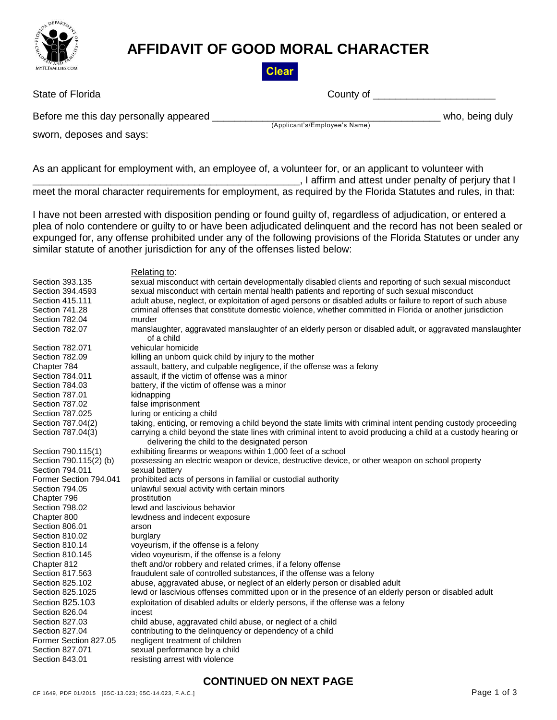

## **AFFIDAVIT OF GOOD MORAL CHARACTER**

**Clear** 

| State of Florida |  |  |
|------------------|--|--|
|                  |  |  |

County of **Figure 20** 

Before me this day personally appeared **Example 20** and the set of the set of the set of the set of the set of th

(Applicant's/Employee's Name)

sworn, deposes and says:

As an applicant for employment with, an employee of, a volunteer for, or an applicant to volunteer with \_\_\_\_\_\_\_\_\_\_\_\_\_\_\_\_\_\_\_\_\_\_\_\_\_\_\_\_\_\_\_\_\_\_\_\_\_\_\_\_\_\_\_\_\_\_\_\_, I affirm and attest under penalty of perjury that I meet the moral character requirements for employment, as required by the Florida Statutes and rules, in that:

I have not been arrested with disposition pending or found guilty of, regardless of adjudication, or entered a plea of nolo contendere or guilty to or have been adjudicated delinquent and the record has not been sealed or expunged for, any offense prohibited under any of the following provisions of the Florida Statutes or under any similar statute of another jurisdiction for any of the offenses listed below:

Relating to: Section 393.135 sexual misconduct with certain developmentally disabled clients and reporting of such sexual misconduct Section 394.4593 sexual misconduct with certain mental health patients and reporting of such sexual misconduct Section 415.111 adult abuse, neglect, or exploitation of aged persons or disabled adults or failure to report of such abuse Section 741.28 criminal offenses that constitute domestic violence, whether committed in Florida or another jurisdiction Section 782.04 murder Section 782.07 manslaughter, aggravated manslaughter of an elderly person or disabled adult, or aggravated manslaughter of a child Section 782.071 vehicular homicide Section 782.09 killing an unborn quick child by injury to the mother Chapter 784 assault, battery, and culpable negligence, if the offense was a felony Section 784.011 assault, if the victim of offense was a minor Section 784.03 battery, if the victim of offense was a minor Section 787.01 kidnapping Section 787.02 false imprisonment Section 787.025 luring or enticing a child Section 787.04(2) taking, enticing, or removing a child beyond the state limits with criminal intent pending custody proceeding Section 787.04(3) carrying a child beyond the state lines with criminal intent to avoid producing a child at a custody hearing or delivering the child to the designated person Section 790.115(1) exhibiting firearms or weapons within 1,000 feet of a school Section 790.115(2) (b) possessing an electric weapon or device, destructive device, or other weapon on school property<br>Section 794.011 sexual battery Section 794.011 Former Section 794.041 prohibited acts of persons in familial or custodial authority Section 794.05 unlawful sexual activity with certain minors Chapter 796 **prostitution** Section 798.02 lewd and lascivious behavior Chapter 800 lewdness and indecent exposure Section 806.01 arson Section 810.02 burglary Section 810.14 voyeurism, if the offense is a felony Section 810.145 video voyeurism, if the offense is a felony Chapter 812 theft and/or robbery and related crimes, if a felony offense Section 817.563 fraudulent sale of controlled substances, if the offense was a felony Section 825.102 abuse, aggravated abuse, or neglect of an elderly person or disabled adult Section 825.1025 lewd or lascivious offenses committed upon or in the presence of an elderly person or disabled adult Section 825.103 exploitation of disabled adults or elderly persons, if the offense was a felony Section 826.04 incest Section 827.03 child abuse, aggravated child abuse, or neglect of a child Section 827.04 contributing to the delinquency or dependency of a child Former Section 827.05 negligent treatment of children Section 827.071 sexual performance by a child Section 843.01 resisting arrest with violence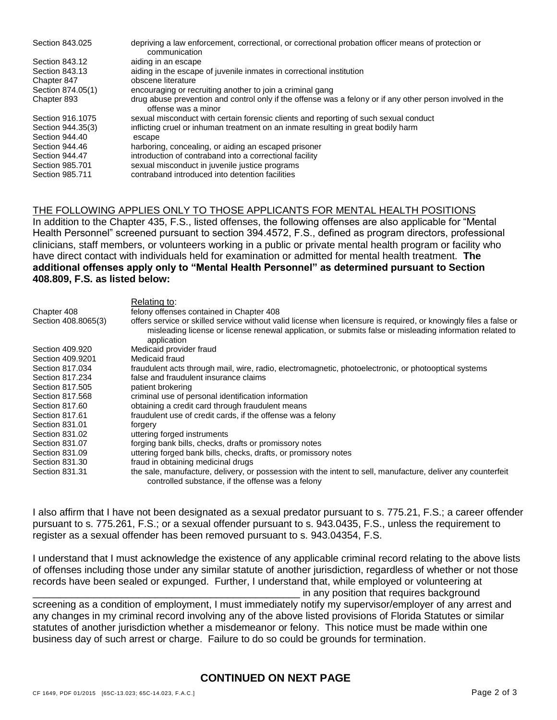| Section 843.025   | depriving a law enforcement, correctional, or correctional probation officer means of protection or<br>communication             |
|-------------------|----------------------------------------------------------------------------------------------------------------------------------|
| Section 843.12    | aiding in an escape                                                                                                              |
| Section 843.13    | aiding in the escape of juvenile inmates in correctional institution                                                             |
| Chapter 847       | obscene literature                                                                                                               |
| Section 874.05(1) | encouraging or recruiting another to join a criminal gang                                                                        |
| Chapter 893       | drug abuse prevention and control only if the offense was a felony or if any other person involved in the<br>offense was a minor |
| Section 916.1075  | sexual misconduct with certain forensic clients and reporting of such sexual conduct                                             |
| Section 944.35(3) | inflicting cruel or inhuman treatment on an inmate resulting in great bodily harm                                                |
| Section 944.40    | escape                                                                                                                           |
| Section 944.46    | harboring, concealing, or aiding an escaped prisoner                                                                             |
| Section 944.47    | introduction of contraband into a correctional facility                                                                          |
| Section 985,701   | sexual misconduct in juvenile justice programs                                                                                   |
| Section 985.711   | contraband introduced into detention facilities                                                                                  |

## THE FOLLOWING APPLIES ONLY TO THOSE APPLICANTS FOR MENTAL HEALTH POSITIONS

In addition to the Chapter 435, F.S., listed offenses, the following offenses are also applicable for "Mental Health Personnel" screened pursuant to section 394.4572, F.S., defined as program directors, professional clinicians, staff members, or volunteers working in a public or private mental health program or facility who have direct contact with individuals held for examination or admitted for mental health treatment. **The additional offenses apply only to "Mental Health Personnel" as determined pursuant to Section 408.809, F.S. as listed below:**

|                     | Relating to:                                                                                                                                                                                                                                 |
|---------------------|----------------------------------------------------------------------------------------------------------------------------------------------------------------------------------------------------------------------------------------------|
| Chapter 408         | felony offenses contained in Chapter 408                                                                                                                                                                                                     |
| Section 408.8065(3) | offers service or skilled service without valid license when licensure is required, or knowingly files a false or<br>misleading license or license renewal application, or submits false or misleading information related to<br>application |
| Section 409.920     | Medicaid provider fraud                                                                                                                                                                                                                      |
| Section 409.9201    | Medicaid fraud                                                                                                                                                                                                                               |
| Section 817,034     | fraudulent acts through mail, wire, radio, electromagnetic, photoelectronic, or photooptical systems                                                                                                                                         |
| Section 817,234     | false and fraudulent insurance claims                                                                                                                                                                                                        |
| Section 817,505     | patient brokering                                                                                                                                                                                                                            |
| Section 817,568     | criminal use of personal identification information                                                                                                                                                                                          |
| Section 817.60      | obtaining a credit card through fraudulent means                                                                                                                                                                                             |
| Section 817.61      | fraudulent use of credit cards, if the offense was a felony                                                                                                                                                                                  |
| Section 831.01      | forgery                                                                                                                                                                                                                                      |
| Section 831.02      | uttering forged instruments                                                                                                                                                                                                                  |
| Section 831.07      | forging bank bills, checks, drafts or promissory notes                                                                                                                                                                                       |
| Section 831.09      | uttering forged bank bills, checks, drafts, or promissory notes                                                                                                                                                                              |
| Section 831.30      | fraud in obtaining medicinal drugs                                                                                                                                                                                                           |
| Section 831.31      | the sale, manufacture, delivery, or possession with the intent to sell, manufacture, deliver any counterfeit<br>controlled substance, if the offense was a felony                                                                            |

I also affirm that I have not been designated as a sexual predator pursuant to s. 775.21, F.S.; a career offender pursuant to s. 775.261, F.S.; or a sexual offender pursuant to s. 943.0435, F.S., unless the requirement to register as a sexual offender has been removed pursuant to s. 943.04354, F.S.

I understand that I must acknowledge the existence of any applicable criminal record relating to the above lists of offenses including those under any similar statute of another jurisdiction, regardless of whether or not those records have been sealed or expunged. Further, I understand that, while employed or volunteering at \_\_\_\_\_\_\_\_\_\_\_\_\_\_\_\_\_\_\_\_\_\_\_\_\_\_\_\_\_\_\_\_\_\_\_\_\_\_\_\_\_\_\_\_\_\_\_\_ in any position that requires background

screening as a condition of employment, I must immediately notify my supervisor/employer of any arrest and any changes in my criminal record involving any of the above listed provisions of Florida Statutes or similar statutes of another jurisdiction whether a misdemeanor or felony. This notice must be made within one business day of such arrest or charge. Failure to do so could be grounds for termination.

## **CONTINUED ON NEXT PAGE**